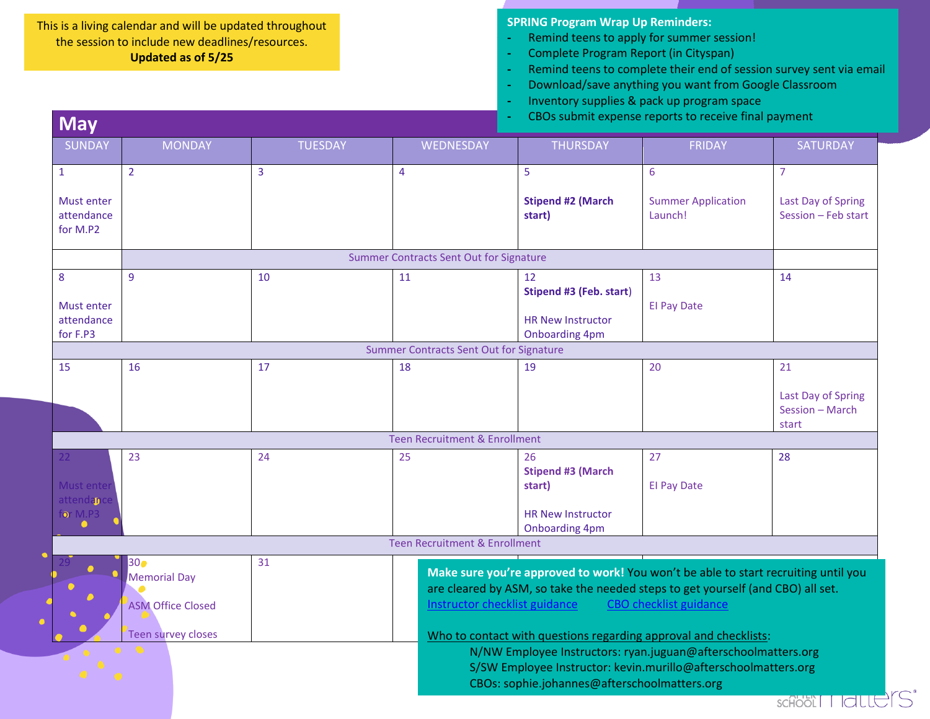## This is a living calendar and will be updated throughout the session to include new deadlines/resources. **Updated as of 5/25**

**May**

**SPRING Program Wrap Up Reminders:**

- **-** Remind teens to apply for summer session!
- **-** Complete Program Report (in Cityspan)
- **-** Remind teens to complete their end of session survey sent via email
- **-** Download/save anything you want from Google Classroom
- **-** Inventory supplies & pack up program space
- **-** CBOs submit expense reports to receive final payment

| <b>THURSDAY</b><br><b>SUNDAY</b><br><b>MONDAY</b><br><b>TUESDAY</b><br>WEDNESDAY<br><b>FRIDAY</b><br>$\overline{2}$<br>3<br>5<br>$\overline{7}$<br>$\overline{4}$<br>6<br>$\mathbf{1}$<br>Must enter<br><b>Stipend #2 (March</b><br><b>Summer Application</b><br>attendance<br>start)<br>Launch!<br>for M.P2<br>Summer Contracts Sent Out for Signature<br>$\overline{9}$<br>8<br>10<br>11<br>13<br>14<br>12<br>Stipend #3 (Feb. start)<br><b>El Pay Date</b><br>Must enter<br>attendance<br><b>HR New Instructor</b><br>for F.P3<br><b>Onboarding 4pm</b><br>Summer Contracts Sent Out for Signature<br>15<br>16<br>17<br>18<br>19<br>20<br>21<br>start<br><b>Teen Recruitment &amp; Enrollment</b><br>23<br>27<br>24<br>25<br>26<br>28<br>$22 -$<br><b>Stipend #3 (March</b><br>Must ente<br><b>El Pay Date</b><br>start)<br>attendan<br>for $M.P3$<br><b>HR New Instructor</b><br>$\bullet$<br><b>Onboarding 4pm</b><br><b>Teen Recruitment &amp; Enrollment</b><br>31<br>300<br>Make sure you're approved to work! You won't be able to start recruiting until you<br><b>Memorial Day</b><br>are cleared by ASM, so take the needed steps to get yourself (and CBO) all set.<br>Instructor checklist guidance<br><b>CBO</b> checklist guidance<br><b>ASM Office Closed</b><br><b>Teen survey closes</b><br>Who to contact with questions regarding approval and checklists:<br>$\bullet$<br>N/NW Employee Instructors: ryan.juguan@afterschoolmatters.org<br>S/SW Employee Instructor: kevin.murillo@afterschoolmatters.org | гута у |  |  |                                           |
|---------------------------------------------------------------------------------------------------------------------------------------------------------------------------------------------------------------------------------------------------------------------------------------------------------------------------------------------------------------------------------------------------------------------------------------------------------------------------------------------------------------------------------------------------------------------------------------------------------------------------------------------------------------------------------------------------------------------------------------------------------------------------------------------------------------------------------------------------------------------------------------------------------------------------------------------------------------------------------------------------------------------------------------------------------------------------------------------------------------------------------------------------------------------------------------------------------------------------------------------------------------------------------------------------------------------------------------------------------------------------------------------------------------------------------------------------------------------------------------------------------------------------------|--------|--|--|-------------------------------------------|
|                                                                                                                                                                                                                                                                                                                                                                                                                                                                                                                                                                                                                                                                                                                                                                                                                                                                                                                                                                                                                                                                                                                                                                                                                                                                                                                                                                                                                                                                                                                                 |        |  |  | SATURDAY                                  |
|                                                                                                                                                                                                                                                                                                                                                                                                                                                                                                                                                                                                                                                                                                                                                                                                                                                                                                                                                                                                                                                                                                                                                                                                                                                                                                                                                                                                                                                                                                                                 |        |  |  |                                           |
|                                                                                                                                                                                                                                                                                                                                                                                                                                                                                                                                                                                                                                                                                                                                                                                                                                                                                                                                                                                                                                                                                                                                                                                                                                                                                                                                                                                                                                                                                                                                 |        |  |  | Last Day of Spring<br>Session - Feb start |
|                                                                                                                                                                                                                                                                                                                                                                                                                                                                                                                                                                                                                                                                                                                                                                                                                                                                                                                                                                                                                                                                                                                                                                                                                                                                                                                                                                                                                                                                                                                                 |        |  |  |                                           |
|                                                                                                                                                                                                                                                                                                                                                                                                                                                                                                                                                                                                                                                                                                                                                                                                                                                                                                                                                                                                                                                                                                                                                                                                                                                                                                                                                                                                                                                                                                                                 |        |  |  |                                           |
|                                                                                                                                                                                                                                                                                                                                                                                                                                                                                                                                                                                                                                                                                                                                                                                                                                                                                                                                                                                                                                                                                                                                                                                                                                                                                                                                                                                                                                                                                                                                 |        |  |  |                                           |
|                                                                                                                                                                                                                                                                                                                                                                                                                                                                                                                                                                                                                                                                                                                                                                                                                                                                                                                                                                                                                                                                                                                                                                                                                                                                                                                                                                                                                                                                                                                                 |        |  |  |                                           |
|                                                                                                                                                                                                                                                                                                                                                                                                                                                                                                                                                                                                                                                                                                                                                                                                                                                                                                                                                                                                                                                                                                                                                                                                                                                                                                                                                                                                                                                                                                                                 |        |  |  | Last Day of Spring<br>Session - March     |
|                                                                                                                                                                                                                                                                                                                                                                                                                                                                                                                                                                                                                                                                                                                                                                                                                                                                                                                                                                                                                                                                                                                                                                                                                                                                                                                                                                                                                                                                                                                                 |        |  |  |                                           |
|                                                                                                                                                                                                                                                                                                                                                                                                                                                                                                                                                                                                                                                                                                                                                                                                                                                                                                                                                                                                                                                                                                                                                                                                                                                                                                                                                                                                                                                                                                                                 |        |  |  |                                           |
|                                                                                                                                                                                                                                                                                                                                                                                                                                                                                                                                                                                                                                                                                                                                                                                                                                                                                                                                                                                                                                                                                                                                                                                                                                                                                                                                                                                                                                                                                                                                 |        |  |  |                                           |
| CBOs: sophie.johannes@afterschoolmatters.org                                                                                                                                                                                                                                                                                                                                                                                                                                                                                                                                                                                                                                                                                                                                                                                                                                                                                                                                                                                                                                                                                                                                                                                                                                                                                                                                                                                                                                                                                    |        |  |  |                                           |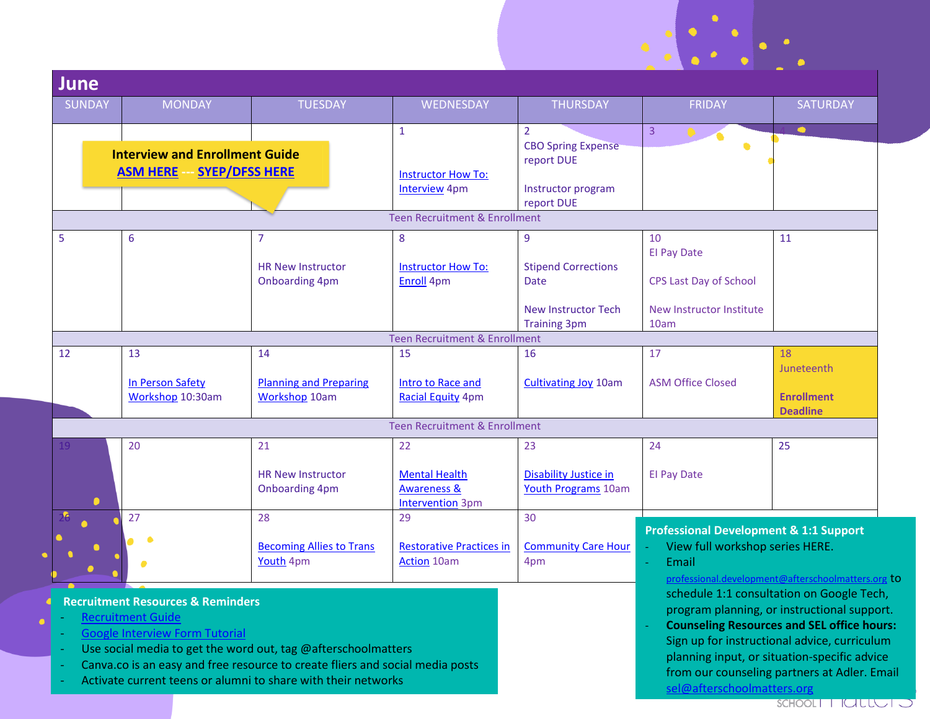| <b>June</b>                       |                                              |                                                                                          |                                                       |                                                           |                                                                                                                       |                                      |  |  |
|-----------------------------------|----------------------------------------------|------------------------------------------------------------------------------------------|-------------------------------------------------------|-----------------------------------------------------------|-----------------------------------------------------------------------------------------------------------------------|--------------------------------------|--|--|
| <b>SUNDAY</b>                     | <b>MONDAY</b>                                | <b>TUESDAY</b>                                                                           | WEDNESDAY                                             | <b>THURSDAY</b>                                           | <b>FRIDAY</b>                                                                                                         | SATURDAY                             |  |  |
|                                   | <b>Interview and Enrollment Guide</b>        |                                                                                          | $\mathbf{1}$                                          | $\overline{2}$<br><b>CBO Spring Expense</b><br>report DUE | $\overline{3}$<br>٠                                                                                                   | $\bullet$                            |  |  |
| <b>ASM HERE -- SYEP/DFSS HERE</b> |                                              |                                                                                          | <b>Instructor How To:</b><br><b>Interview</b> 4pm     | Instructor program                                        |                                                                                                                       |                                      |  |  |
|                                   |                                              |                                                                                          | Teen Recruitment & Enrollment                         | report DUE                                                |                                                                                                                       |                                      |  |  |
|                                   |                                              |                                                                                          |                                                       |                                                           |                                                                                                                       |                                      |  |  |
| 5                                 | 6                                            | 7                                                                                        | 8                                                     | $\overline{9}$                                            | 10<br><b>El Pay Date</b>                                                                                              | 11                                   |  |  |
|                                   |                                              | <b>HR New Instructor</b>                                                                 | <b>Instructor How To:</b>                             | <b>Stipend Corrections</b>                                |                                                                                                                       |                                      |  |  |
|                                   |                                              | <b>Onboarding 4pm</b>                                                                    | Enroll 4pm                                            | <b>Date</b>                                               | <b>CPS Last Day of School</b>                                                                                         |                                      |  |  |
|                                   |                                              |                                                                                          |                                                       | <b>New Instructor Tech</b><br><b>Training 3pm</b>         | New Instructor Institute<br>10am                                                                                      |                                      |  |  |
|                                   |                                              |                                                                                          | <b>Teen Recruitment &amp; Enrollment</b>              |                                                           |                                                                                                                       |                                      |  |  |
| 13<br>14<br>12                    |                                              |                                                                                          | 15                                                    | 16                                                        | 17                                                                                                                    | 18                                   |  |  |
|                                   |                                              |                                                                                          |                                                       |                                                           |                                                                                                                       | Juneteenth                           |  |  |
|                                   | In Person Safety                             | <b>Planning and Preparing</b>                                                            | Intro to Race and                                     | <b>Cultivating Joy 10am</b>                               | <b>ASM Office Closed</b>                                                                                              |                                      |  |  |
|                                   | Workshop 10:30am                             | <b>Workshop 10am</b>                                                                     | <b>Racial Equity 4pm</b>                              |                                                           |                                                                                                                       | <b>Enrollment</b><br><b>Deadline</b> |  |  |
|                                   |                                              |                                                                                          | <b>Teen Recruitment &amp; Enrollment</b>              |                                                           |                                                                                                                       |                                      |  |  |
|                                   | 20                                           | 21                                                                                       | 22                                                    | 23                                                        | 24                                                                                                                    | 25                                   |  |  |
|                                   |                                              | <b>HR New Instructor</b>                                                                 | <b>Mental Health</b>                                  | <b>Disability Justice in</b>                              | <b>El Pay Date</b>                                                                                                    |                                      |  |  |
|                                   |                                              | <b>Onboarding 4pm</b>                                                                    | <b>Awareness &amp;</b>                                | <b>Youth Programs 10am</b>                                |                                                                                                                       |                                      |  |  |
|                                   |                                              |                                                                                          | <b>Intervention</b> 3pm                               |                                                           |                                                                                                                       |                                      |  |  |
|                                   | 27                                           | 28                                                                                       | 29                                                    | 30                                                        |                                                                                                                       |                                      |  |  |
|                                   |                                              |                                                                                          |                                                       |                                                           | <b>Professional Development &amp; 1:1 Support</b><br>View full workshop series HERE.<br>$\omega$<br>Email<br>$\omega$ |                                      |  |  |
|                                   |                                              | <b>Becoming Allies to Trans</b><br>Youth 4pm                                             | <b>Restorative Practices in</b><br><b>Action</b> 10am | <b>Community Care Hour</b><br>4pm                         |                                                                                                                       |                                      |  |  |
|                                   |                                              |                                                                                          |                                                       |                                                           | professional.development@afterschoolmatters.org to                                                                    |                                      |  |  |
|                                   |                                              |                                                                                          |                                                       |                                                           |                                                                                                                       |                                      |  |  |
|                                   | <b>Recruitment Resources &amp; Reminders</b> | schedule 1:1 consultation on Google Tech,<br>program planning, or instructional support. |                                                       |                                                           |                                                                                                                       |                                      |  |  |

- [Recruitment Guide](https://www.afterschoolmatters.org/wp-content/uploads/2017/01/Recruitment-Guide-2019.pdf)
- [Google Interview Form Tutorial](https://drive.google.com/drive/folders/1k5OJHNLG_GlaFXFozoldsfN1uoVb8l43)
- Use social media to get the word out, tag @afterschoolmatters
- Canva.co is an easy and free resource to create fliers and social media posts
- Activate current teens or alumni to share with their networks

SCHOOLET I LULLUS J

- **Counseling Resources and SEL office hours:** Sign up for instructional advice, curriculum planning input, or situation-specific advice from our counseling partners at Adler. Email

[sel@afterschoolmatters.org](mailto:sel@afterschoolmatters.org)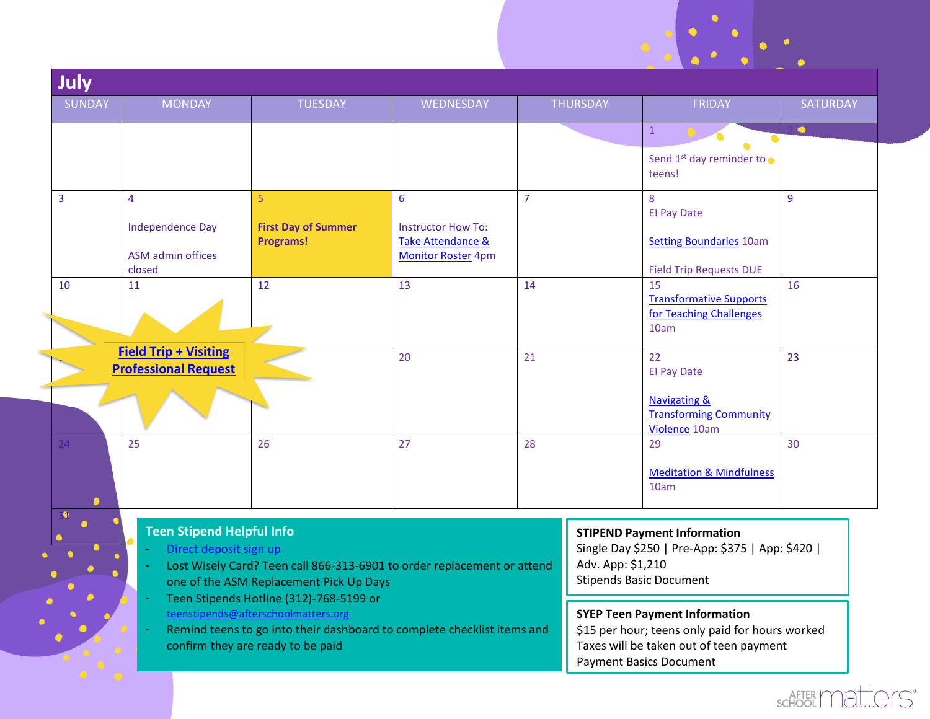| <b>SUNDAY</b> | <b>MONDAY</b>                                                                                                                                                                                  | <b>TUESDAY</b>                                                                                                     | WEDNESDAY                                                                   |                | <b>THURSDAY</b>                                                                                                                                                      | <b>FRIDAY</b>                                                                                                            | SATURDAY  |  |
|---------------|------------------------------------------------------------------------------------------------------------------------------------------------------------------------------------------------|--------------------------------------------------------------------------------------------------------------------|-----------------------------------------------------------------------------|----------------|----------------------------------------------------------------------------------------------------------------------------------------------------------------------|--------------------------------------------------------------------------------------------------------------------------|-----------|--|
|               |                                                                                                                                                                                                |                                                                                                                    |                                                                             |                |                                                                                                                                                                      | $\mathbf{1}$                                                                                                             | $\bullet$ |  |
|               |                                                                                                                                                                                                |                                                                                                                    |                                                                             |                |                                                                                                                                                                      | Send 1 <sup>st</sup> day reminder to<br>teens!                                                                           |           |  |
|               | $\overline{4}$                                                                                                                                                                                 | 5                                                                                                                  | 6                                                                           | $\overline{7}$ |                                                                                                                                                                      | 8                                                                                                                        | 9         |  |
|               | <b>Independence Day</b><br>ASM admin offices<br>closed                                                                                                                                         | <b>First Day of Summer</b><br><b>Programs!</b>                                                                     | <b>Instructor How To:</b><br>Take Attendance &<br><b>Monitor Roster 4pm</b> |                |                                                                                                                                                                      | <b>El Pay Date</b><br><b>Setting Boundaries 10am</b><br><b>Field Trip Requests DUE</b>                                   |           |  |
| 10            | 11                                                                                                                                                                                             | 12                                                                                                                 | 13                                                                          | 14             |                                                                                                                                                                      | 15<br><b>Transformative Supports</b><br>for Teaching Challenges<br>10am                                                  | 16        |  |
|               | <b>Field Trip + Visiting</b><br><b>Professional Request</b>                                                                                                                                    |                                                                                                                    | 20                                                                          | 21             |                                                                                                                                                                      | 22<br><b>El Pay Date</b><br><b>Navigating &amp;</b><br><b>Transforming Community</b><br>Violence 10am                    | 23        |  |
| 24            | 25                                                                                                                                                                                             | 26                                                                                                                 | 27                                                                          | 28             |                                                                                                                                                                      | 29<br><b>Meditation &amp; Mindfulness</b><br>10am                                                                        | 30        |  |
|               | <b>Teen Stipend Helpful Info</b><br>Direct deposit sign up                                                                                                                                     | Lost Wisely Card? Teen call 866-313-6901 to order replacement or attend<br>one of the ASM Replacement Pick Up Days |                                                                             |                | Adv. App: \$1,210                                                                                                                                                    | <b>STIPEND Payment Information</b><br>Single Day \$250   Pre-App: \$375   App: \$420  <br><b>Stipends Basic Document</b> |           |  |
|               | Teen Stipends Hotline (312)-768-5199 or<br>teenstipends@afterschoolmatters.org<br>Remind teens to go into their dashboard to complete checklist items and<br>confirm they are ready to be paid |                                                                                                                    |                                                                             |                | <b>SYEP Teen Payment Information</b><br>\$15 per hour; teens only paid for hours worked<br>Taxes will be taken out of teen payment<br><b>Payment Basics Document</b> |                                                                                                                          |           |  |

## SCHOOL Matters'

 $\ddotsc$ 

 $\sim$   $\sim$